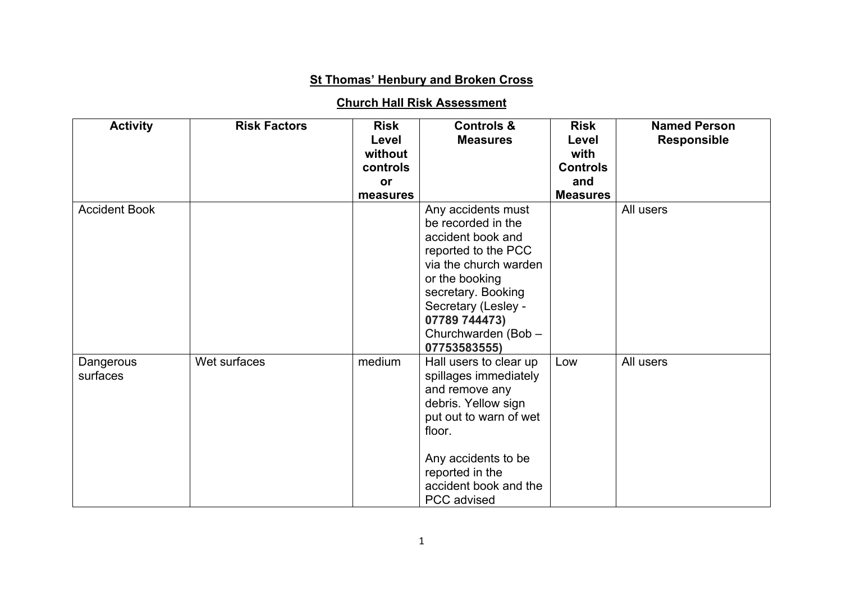## **St Thomas' Henbury and Broken Cross**

## **Church Hall Risk Assessment**

| <b>Activity</b>       | <b>Risk Factors</b> | <b>Risk</b><br>Level<br>without<br>controls<br>or<br>measures | <b>Controls &amp;</b><br><b>Measures</b>                                                                                                                                                                                             | <b>Risk</b><br>Level<br>with<br><b>Controls</b><br>and<br><b>Measures</b> | <b>Named Person</b><br><b>Responsible</b> |
|-----------------------|---------------------|---------------------------------------------------------------|--------------------------------------------------------------------------------------------------------------------------------------------------------------------------------------------------------------------------------------|---------------------------------------------------------------------------|-------------------------------------------|
| <b>Accident Book</b>  |                     |                                                               | Any accidents must<br>be recorded in the<br>accident book and<br>reported to the PCC<br>via the church warden<br>or the booking<br>secretary. Booking<br>Secretary (Lesley -<br>07789 744473)<br>Churchwarden (Bob -<br>07753583555) |                                                                           | All users                                 |
| Dangerous<br>surfaces | Wet surfaces        | medium                                                        | Hall users to clear up<br>spillages immediately<br>and remove any<br>debris. Yellow sign<br>put out to warn of wet<br>floor.<br>Any accidents to be<br>reported in the<br>accident book and the<br>PCC advised                       | Low                                                                       | All users                                 |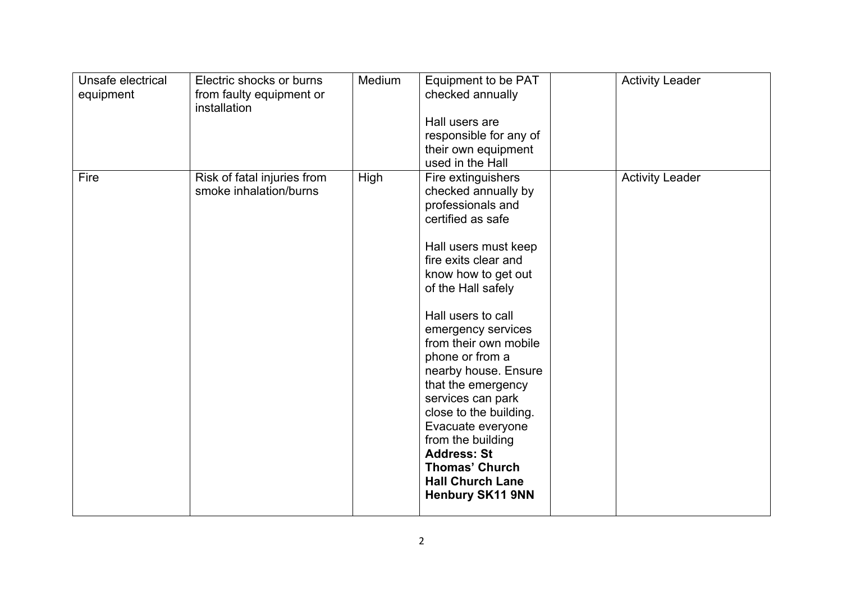| Unsafe electrical<br>equipment | Electric shocks or burns<br>from faulty equipment or<br>installation | Medium | Equipment to be PAT<br>checked annually<br>Hall users are<br>responsible for any of<br>their own equipment<br>used in the Hall                                                                                                                                                                                                                                                                                                                                                                                       | <b>Activity Leader</b> |
|--------------------------------|----------------------------------------------------------------------|--------|----------------------------------------------------------------------------------------------------------------------------------------------------------------------------------------------------------------------------------------------------------------------------------------------------------------------------------------------------------------------------------------------------------------------------------------------------------------------------------------------------------------------|------------------------|
| Fire                           | Risk of fatal injuries from<br>smoke inhalation/burns                | High   | Fire extinguishers<br>checked annually by<br>professionals and<br>certified as safe<br>Hall users must keep<br>fire exits clear and<br>know how to get out<br>of the Hall safely<br>Hall users to call<br>emergency services<br>from their own mobile<br>phone or from a<br>nearby house. Ensure<br>that the emergency<br>services can park<br>close to the building.<br>Evacuate everyone<br>from the building<br><b>Address: St</b><br><b>Thomas' Church</b><br><b>Hall Church Lane</b><br><b>Henbury SK11 9NN</b> | <b>Activity Leader</b> |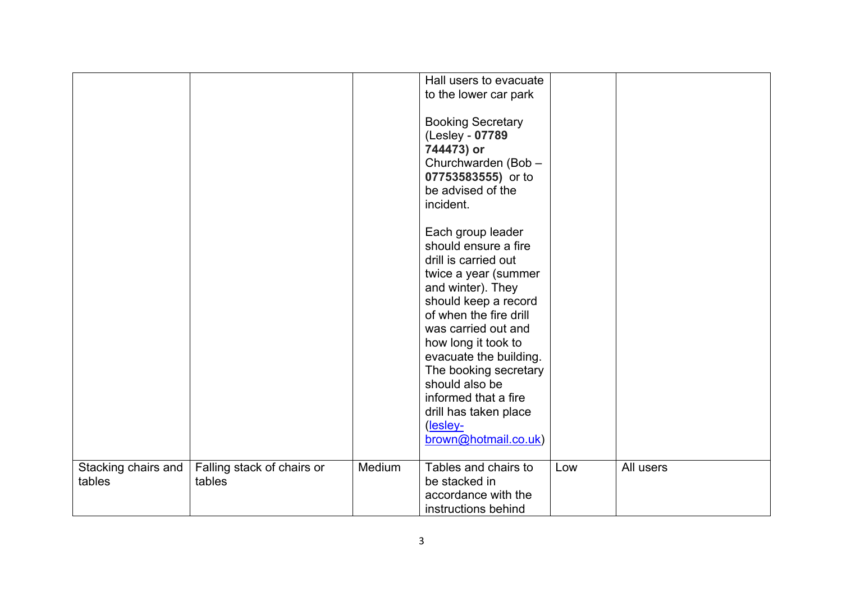|                               |                                      |        | Hall users to evacuate<br>to the lower car park                                                                                                                                                                                                                                                                                                                          |     |           |
|-------------------------------|--------------------------------------|--------|--------------------------------------------------------------------------------------------------------------------------------------------------------------------------------------------------------------------------------------------------------------------------------------------------------------------------------------------------------------------------|-----|-----------|
|                               |                                      |        | <b>Booking Secretary</b><br>(Lesley - 07789<br>744473) or<br>Churchwarden (Bob -<br>07753583555) or to<br>be advised of the<br>incident.                                                                                                                                                                                                                                 |     |           |
|                               |                                      |        | Each group leader<br>should ensure a fire<br>drill is carried out<br>twice a year (summer<br>and winter). They<br>should keep a record<br>of when the fire drill<br>was carried out and<br>how long it took to<br>evacuate the building.<br>The booking secretary<br>should also be<br>informed that a fire<br>drill has taken place<br>(lesley-<br>brown@hotmail.co.uk) |     |           |
| Stacking chairs and<br>tables | Falling stack of chairs or<br>tables | Medium | Tables and chairs to<br>be stacked in<br>accordance with the<br>instructions behind                                                                                                                                                                                                                                                                                      | Low | All users |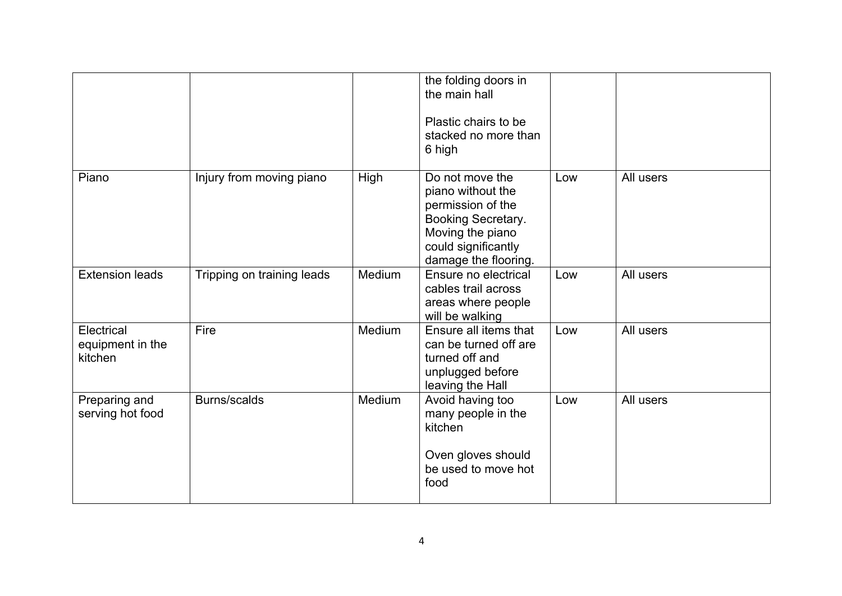|                                           |                            |        | the folding doors in<br>the main hall<br>Plastic chairs to be<br>stacked no more than<br>6 high                                                    |     |           |
|-------------------------------------------|----------------------------|--------|----------------------------------------------------------------------------------------------------------------------------------------------------|-----|-----------|
| Piano                                     | Injury from moving piano   | High   | Do not move the<br>piano without the<br>permission of the<br>Booking Secretary.<br>Moving the piano<br>could significantly<br>damage the flooring. | Low | All users |
| <b>Extension leads</b>                    | Tripping on training leads | Medium | Ensure no electrical<br>cables trail across<br>areas where people<br>will be walking                                                               | Low | All users |
| Electrical<br>equipment in the<br>kitchen | Fire                       | Medium | Ensure all items that<br>can be turned off are<br>turned off and<br>unplugged before<br>leaving the Hall                                           | Low | All users |
| Preparing and<br>serving hot food         | Burns/scalds               | Medium | Avoid having too<br>many people in the<br>kitchen<br>Oven gloves should<br>be used to move hot<br>food                                             | Low | All users |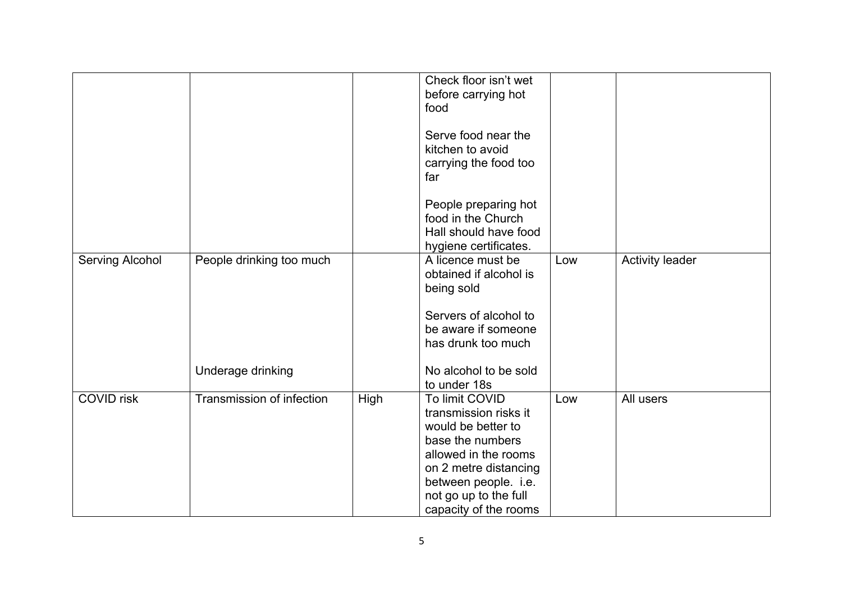|                           |      | Check floor isn't wet<br>before carrying hot<br>food                                                                                                                                |                       |                        |
|---------------------------|------|-------------------------------------------------------------------------------------------------------------------------------------------------------------------------------------|-----------------------|------------------------|
|                           |      | Serve food near the<br>kitchen to avoid<br>carrying the food too<br>far                                                                                                             |                       |                        |
|                           |      | People preparing hot<br>food in the Church<br>Hall should have food<br>hygiene certificates.                                                                                        |                       |                        |
| People drinking too much  |      | A licence must be<br>obtained if alcohol is<br>being sold                                                                                                                           | Low                   | <b>Activity leader</b> |
|                           |      | Servers of alcohol to<br>be aware if someone<br>has drunk too much                                                                                                                  |                       |                        |
| Underage drinking         |      | No alcohol to be sold<br>to under 18s                                                                                                                                               |                       |                        |
| Transmission of infection | High | To limit COVID<br>transmission risks it<br>would be better to<br>base the numbers<br>allowed in the rooms<br>on 2 metre distancing<br>between people. i.e.<br>not go up to the full | Low                   | All users              |
|                           |      |                                                                                                                                                                                     | capacity of the rooms |                        |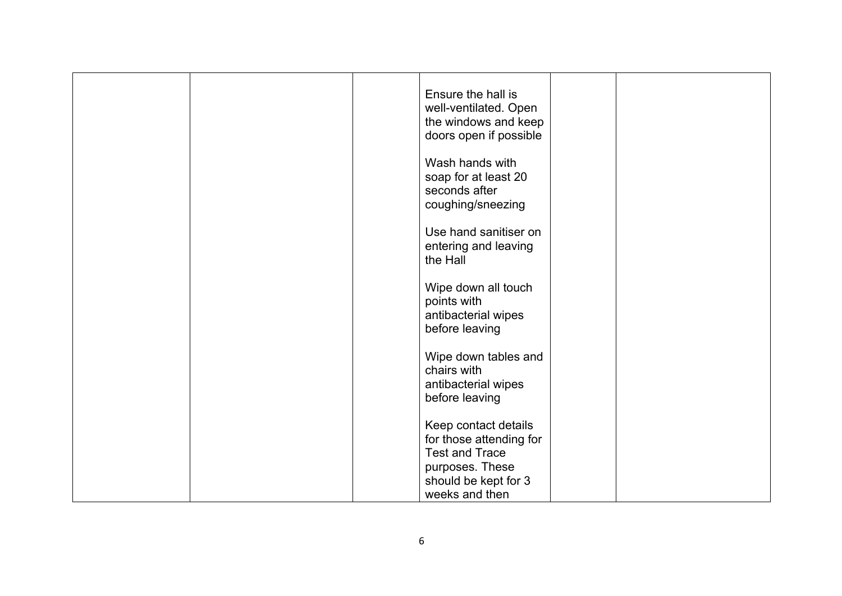|  | Ensure the hall is<br>well-ventilated. Open<br>the windows and keep<br>doors open if possible                                         |  |  |
|--|---------------------------------------------------------------------------------------------------------------------------------------|--|--|
|  | Wash hands with<br>soap for at least 20<br>seconds after<br>coughing/sneezing                                                         |  |  |
|  | Use hand sanitiser on<br>entering and leaving<br>the Hall                                                                             |  |  |
|  | Wipe down all touch<br>points with<br>antibacterial wipes<br>before leaving                                                           |  |  |
|  | Wipe down tables and<br>chairs with<br>antibacterial wipes<br>before leaving                                                          |  |  |
|  | Keep contact details<br>for those attending for<br><b>Test and Trace</b><br>purposes. These<br>should be kept for 3<br>weeks and then |  |  |